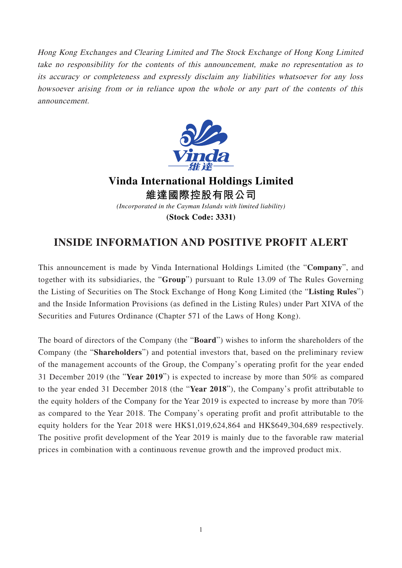Hong Kong Exchanges and Clearing Limited and The Stock Exchange of Hong Kong Limited take no responsibility for the contents of this announcement, make no representation as to its accuracy or completeness and expressly disclaim any liabilities whatsoever for any loss howsoever arising from or in reliance upon the whole or any part of the contents of this announcement.



**Vinda International Holdings Limited 維達國際控股有限公司** *(Incorporated in the Cayman Islands with limited liability)* **(Stock Code: 3331)**

## **INSIDE INFORMATION AND POSITIVE PROFIT ALERT**

This announcement is made by Vinda International Holdings Limited (the "**Company**", and together with its subsidiaries, the "**Group**") pursuant to Rule 13.09 of The Rules Governing the Listing of Securities on The Stock Exchange of Hong Kong Limited (the "**Listing Rules**") and the Inside Information Provisions (as defined in the Listing Rules) under Part XIVA of the Securities and Futures Ordinance (Chapter 571 of the Laws of Hong Kong).

The board of directors of the Company (the "**Board**") wishes to inform the shareholders of the Company (the "**Shareholders**") and potential investors that, based on the preliminary review of the management accounts of the Group, the Company's operating profit for the year ended 31 December 2019 (the "**Year 2019**") is expected to increase by more than 50% as compared to the year ended 31 December 2018 (the "**Year 2018**"), the Company's profit attributable to the equity holders of the Company for the Year 2019 is expected to increase by more than 70% as compared to the Year 2018. The Company's operating profit and profit attributable to the equity holders for the Year 2018 were HK\$1,019,624,864 and HK\$649,304,689 respectively. The positive profit development of the Year 2019 is mainly due to the favorable raw material prices in combination with a continuous revenue growth and the improved product mix.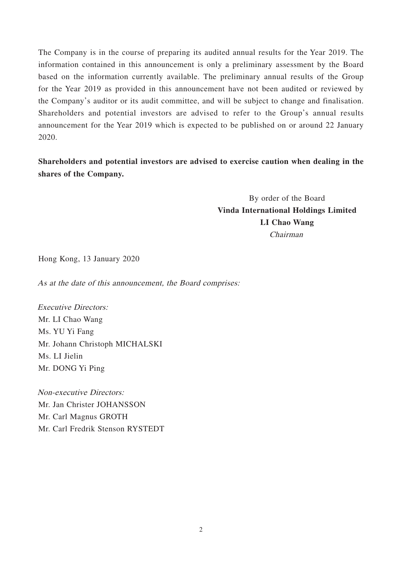The Company is in the course of preparing its audited annual results for the Year 2019. The information contained in this announcement is only a preliminary assessment by the Board based on the information currently available. The preliminary annual results of the Group for the Year 2019 as provided in this announcement have not been audited or reviewed by the Company's auditor or its audit committee, and will be subject to change and finalisation. Shareholders and potential investors are advised to refer to the Group's annual results announcement for the Year 2019 which is expected to be published on or around 22 January 2020.

**Shareholders and potential investors are advised to exercise caution when dealing in the shares of the Company.**

> By order of the Board **Vinda International Holdings Limited LI Chao Wang** Chairman

Hong Kong, 13 January 2020

As at the date of this announcement, the Board comprises:

Executive Directors: Mr. LI Chao Wang Ms. YU Yi Fang Mr. Johann Christoph MICHALSKI Ms. LI Jielin Mr. DONG Yi Ping

Non-executive Directors: Mr. Jan Christer JOHANSSON Mr. Carl Magnus GROTH Mr. Carl Fredrik Stenson RYSTEDT